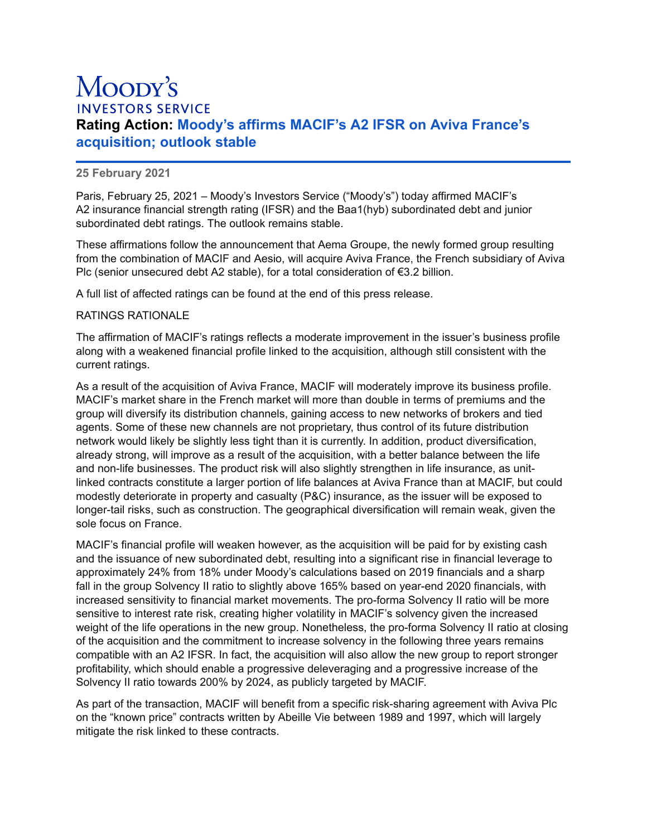# Moody's **INVESTORS SERVICE Rating Action: Moody's affirms MACIF's A2 IFSR on Aviva France's acquisition; outlook stable**

#### **25 February 2021**

Paris, February 25, 2021 – Moody's Investors Service ("Moody's") today affirmed MACIF's A2 insurance financial strength rating (IFSR) and the Baa1(hyb) subordinated debt and junior subordinated debt ratings. The outlook remains stable.

These affirmations follow the announcement that Aema Groupe, the newly formed group resulting from the combination of MACIF and Aesio, will acquire Aviva France, the French subsidiary of Aviva Plc (senior unsecured debt A2 stable), for a total consideration of €3.2 billion.

A full list of affected ratings can be found at the end of this press release.

#### RATINGS RATIONALE

The affirmation of MACIF's ratings reflects a moderate improvement in the issuer's business profile along with a weakened financial profile linked to the acquisition, although still consistent with the current ratings.

As a result of the acquisition of Aviva France, MACIF will moderately improve its business profile. MACIF's market share in the French market will more than double in terms of premiums and the group will diversify its distribution channels, gaining access to new networks of brokers and tied agents. Some of these new channels are not proprietary, thus control of its future distribution network would likely be slightly less tight than it is currently. In addition, product diversification, already strong, will improve as a result of the acquisition, with a better balance between the life and non-life businesses. The product risk will also slightly strengthen in life insurance, as unitlinked contracts constitute a larger portion of life balances at Aviva France than at MACIF, but could modestly deteriorate in property and casualty (P&C) insurance, as the issuer will be exposed to longer-tail risks, such as construction. The geographical diversification will remain weak, given the sole focus on France.

MACIF's financial profile will weaken however, as the acquisition will be paid for by existing cash and the issuance of new subordinated debt, resulting into a significant rise in financial leverage to approximately 24% from 18% under Moody's calculations based on 2019 financials and a sharp fall in the group Solvency II ratio to slightly above 165% based on year-end 2020 financials, with increased sensitivity to financial market movements. The pro-forma Solvency II ratio will be more sensitive to interest rate risk, creating higher volatility in MACIF's solvency given the increased weight of the life operations in the new group. Nonetheless, the pro-forma Solvency II ratio at closing of the acquisition and the commitment to increase solvency in the following three years remains compatible with an A2 IFSR. In fact, the acquisition will also allow the new group to report stronger profitability, which should enable a progressive deleveraging and a progressive increase of the Solvency II ratio towards 200% by 2024, as publicly targeted by MACIF.

As part of the transaction, MACIF will benefit from a specific risk-sharing agreement with Aviva Plc on the "known price" contracts written by Abeille Vie between 1989 and 1997, which will largely mitigate the risk linked to these contracts.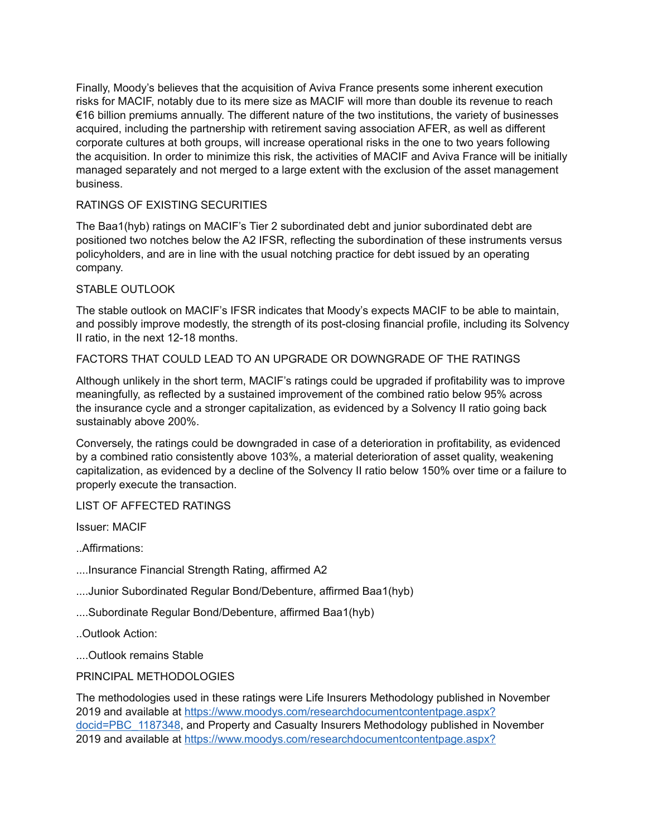Finally, Moody's believes that the acquisition of Aviva France presents some inherent execution risks for MACIF, notably due to its mere size as MACIF will more than double its revenue to reach €16 billion premiums annually. The different nature of the two institutions, the variety of businesses acquired, including the partnership with retirement saving association AFER, as well as different corporate cultures at both groups, will increase operational risks in the one to two years following the acquisition. In order to minimize this risk, the activities of MACIF and Aviva France will be initially managed separately and not merged to a large extent with the exclusion of the asset management business.

## RATINGS OF EXISTING SECURITIES

The Baa1(hyb) ratings on MACIF's Tier 2 subordinated debt and junior subordinated debt are positioned two notches below the A2 IFSR, reflecting the subordination of these instruments versus policyholders, and are in line with the usual notching practice for debt issued by an operating company.

#### STABLE OUTLOOK

The stable outlook on MACIF's IFSR indicates that Moody's expects MACIF to be able to maintain, and possibly improve modestly, the strength of its post-closing financial profile, including its Solvency II ratio, in the next 12-18 months.

#### FACTORS THAT COULD LEAD TO AN UPGRADE OR DOWNGRADE OF THE RATINGS

Although unlikely in the short term, MACIF's ratings could be upgraded if profitability was to improve meaningfully, as reflected by a sustained improvement of the combined ratio below 95% across the insurance cycle and a stronger capitalization, as evidenced by a Solvency II ratio going back sustainably above 200%.

Conversely, the ratings could be downgraded in case of a deterioration in profitability, as evidenced by a combined ratio consistently above 103%, a material deterioration of asset quality, weakening capitalization, as evidenced by a decline of the Solvency II ratio below 150% over time or a failure to properly execute the transaction.

LIST OF AFFECTED RATINGS

Issuer: MACIF

..Affirmations:

- ....Insurance Financial Strength Rating, affirmed A2
- ....Junior Subordinated Regular Bond/Debenture, affirmed Baa1(hyb)
- ....Subordinate Regular Bond/Debenture, affirmed Baa1(hyb)

..Outlook Action:

....Outlook remains Stable

## PRINCIPAL METHODOLOGIES

The methodologies used in these ratings were Life Insurers Methodology published in November 2019 and available at [https://www.moodys.com/researchdocumentcontentpage.aspx?](https://www.moodys.com/researchdocumentcontentpage.aspx?docid=PBC_1187348) [docid=PBC\\_1187348,](https://www.moodys.com/researchdocumentcontentpage.aspx?docid=PBC_1187348) and Property and Casualty Insurers Methodology published in November 2019 and available at [https://www.moodys.com/researchdocumentcontentpage.aspx?](https://www.moodys.com/researchdocumentcontentpage.aspx?docid=PBC_1187352)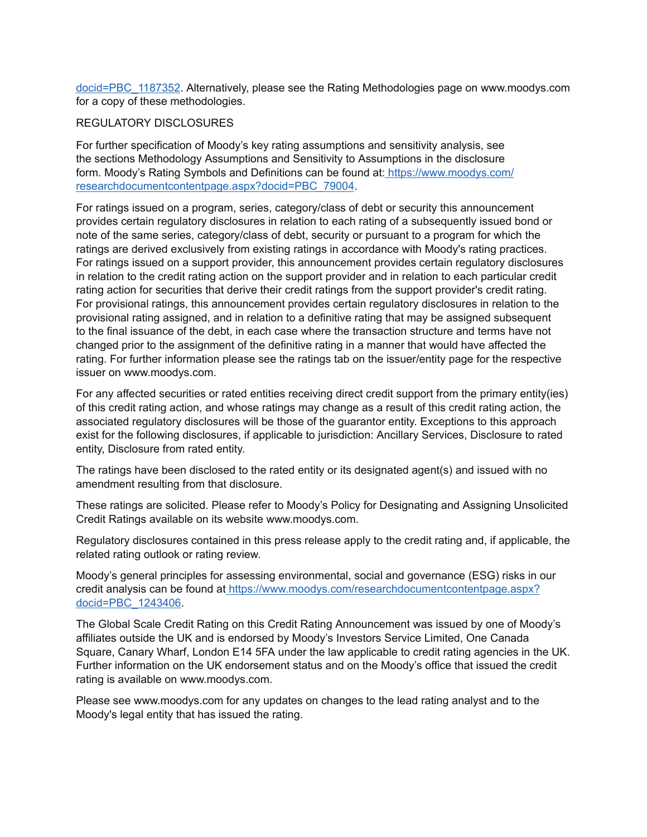[docid=PBC\\_1187352.](https://www.moodys.com/researchdocumentcontentpage.aspx?docid=PBC_1187352) Alternatively, please see the Rating Methodologies page on www.moodys.com for a copy of these methodologies.

## REGULATORY DISCLOSURES

For further specification of Moody's key rating assumptions and sensitivity analysis, see the sections Methodology Assumptions and Sensitivity to Assumptions in the disclosure form. Moody's Rating Symbols and Definitions can be found at: [https://www.moodys.com/](https://www.moodys.com/researchdocumentcontentpage.aspx?docid=PBC_79004) [researchdocumentcontentpage.aspx?docid=PBC\\_79004](https://www.moodys.com/researchdocumentcontentpage.aspx?docid=PBC_79004).

For ratings issued on a program, series, category/class of debt or security this announcement provides certain regulatory disclosures in relation to each rating of a subsequently issued bond or note of the same series, category/class of debt, security or pursuant to a program for which the ratings are derived exclusively from existing ratings in accordance with Moody's rating practices. For ratings issued on a support provider, this announcement provides certain regulatory disclosures in relation to the credit rating action on the support provider and in relation to each particular credit rating action for securities that derive their credit ratings from the support provider's credit rating. For provisional ratings, this announcement provides certain regulatory disclosures in relation to the provisional rating assigned, and in relation to a definitive rating that may be assigned subsequent to the final issuance of the debt, in each case where the transaction structure and terms have not changed prior to the assignment of the definitive rating in a manner that would have affected the rating. For further information please see the ratings tab on the issuer/entity page for the respective issuer on www.moodys.com.

For any affected securities or rated entities receiving direct credit support from the primary entity(ies) of this credit rating action, and whose ratings may change as a result of this credit rating action, the associated regulatory disclosures will be those of the guarantor entity. Exceptions to this approach exist for the following disclosures, if applicable to jurisdiction: Ancillary Services, Disclosure to rated entity, Disclosure from rated entity.

The ratings have been disclosed to the rated entity or its designated agent(s) and issued with no amendment resulting from that disclosure.

These ratings are solicited. Please refer to Moody's Policy for Designating and Assigning Unsolicited Credit Ratings available on its website www.moodys.com.

Regulatory disclosures contained in this press release apply to the credit rating and, if applicable, the related rating outlook or rating review.

Moody's general principles for assessing environmental, social and governance (ESG) risks in our credit analysis can be found at [https://www.moodys.com/researchdocumentcontentpage.aspx?](https://www.moodys.com/researchdocumentcontentpage.aspx?docid=PBC_1243406) [docid=PBC\\_1243406](https://www.moodys.com/researchdocumentcontentpage.aspx?docid=PBC_1243406).

The Global Scale Credit Rating on this Credit Rating Announcement was issued by one of Moody's affiliates outside the UK and is endorsed by Moody's Investors Service Limited, One Canada Square, Canary Wharf, London E14 5FA under the law applicable to credit rating agencies in the UK. Further information on the UK endorsement status and on the Moody's office that issued the credit rating is available on www.moodys.com.

Please see www.moodys.com for any updates on changes to the lead rating analyst and to the Moody's legal entity that has issued the rating.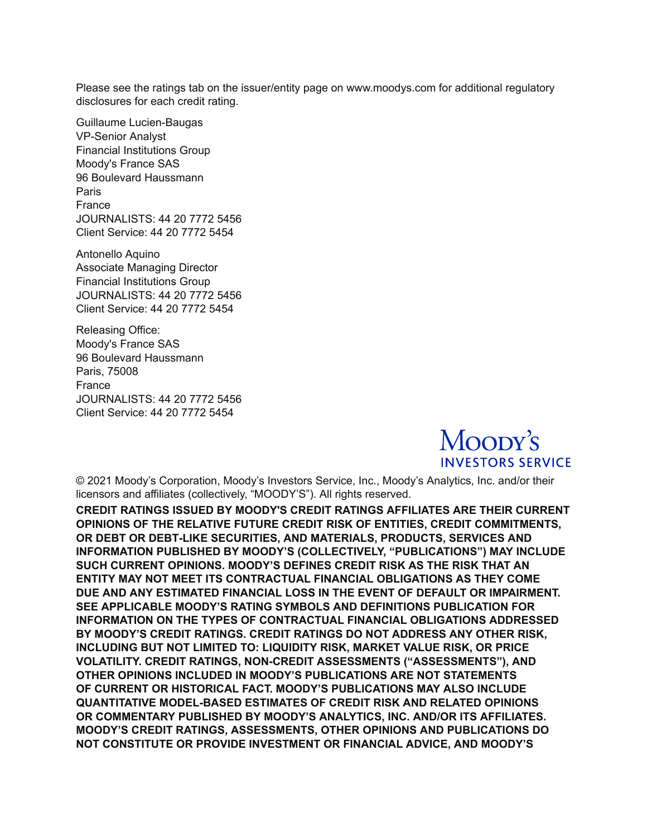Please see the ratings tab on the issuer/entity page on www.moodys.com for additional regulatory disclosures for each credit rating.

Guillaume Lucien-Baugas VP-Senior Analyst Financial Institutions Group Moody's France SAS 96 Boulevard Haussmann Paris France JOURNALISTS: 44 20 7772 5456 Client Service: 44 20 7772 5454

Antonello Aquino Associate Managing Director Financial Institutions Group JOURNALISTS: 44 20 7772 5456 Client Service: 44 20 7772 5454

Releasing Office: Moody's France SAS 96 Boulevard Haussmann Paris, 75008 France JOURNALISTS: 44 20 7772 5456 Client Service: 44 20 7772 5454



© 2021 Moody's Corporation, Moody's Investors Service, Inc., Moody's Analytics, Inc. and/or their licensors and affiliates (collectively, "MOODY'S"). All rights reserved.

**CREDIT RATINGS ISSUED BY MOODY'S CREDIT RATINGS AFFILIATES ARE THEIR CURRENT OPINIONS OF THE RELATIVE FUTURE CREDIT RISK OF ENTITIES, CREDIT COMMITMENTS, OR DEBT OR DEBT-LIKE SECURITIES, AND MATERIALS, PRODUCTS, SERVICES AND INFORMATION PUBLISHED BY MOODY'S (COLLECTIVELY, "PUBLICATIONS") MAY INCLUDE SUCH CURRENT OPINIONS. MOODY'S DEFINES CREDIT RISK AS THE RISK THAT AN ENTITY MAY NOT MEET ITS CONTRACTUAL FINANCIAL OBLIGATIONS AS THEY COME DUE AND ANY ESTIMATED FINANCIAL LOSS IN THE EVENT OF DEFAULT OR IMPAIRMENT. SEE APPLICABLE MOODY'S RATING SYMBOLS AND DEFINITIONS PUBLICATION FOR INFORMATION ON THE TYPES OF CONTRACTUAL FINANCIAL OBLIGATIONS ADDRESSED BY MOODY'S CREDIT RATINGS. CREDIT RATINGS DO NOT ADDRESS ANY OTHER RISK, INCLUDING BUT NOT LIMITED TO: LIQUIDITY RISK, MARKET VALUE RISK, OR PRICE VOLATILITY. CREDIT RATINGS, NON-CREDIT ASSESSMENTS ("ASSESSMENTS"), AND OTHER OPINIONS INCLUDED IN MOODY'S PUBLICATIONS ARE NOT STATEMENTS OF CURRENT OR HISTORICAL FACT. MOODY'S PUBLICATIONS MAY ALSO INCLUDE QUANTITATIVE MODEL-BASED ESTIMATES OF CREDIT RISK AND RELATED OPINIONS OR COMMENTARY PUBLISHED BY MOODY'S ANALYTICS, INC. AND/OR ITS AFFILIATES. MOODY'S CREDIT RATINGS, ASSESSMENTS, OTHER OPINIONS AND PUBLICATIONS DO NOT CONSTITUTE OR PROVIDE INVESTMENT OR FINANCIAL ADVICE, AND MOODY'S**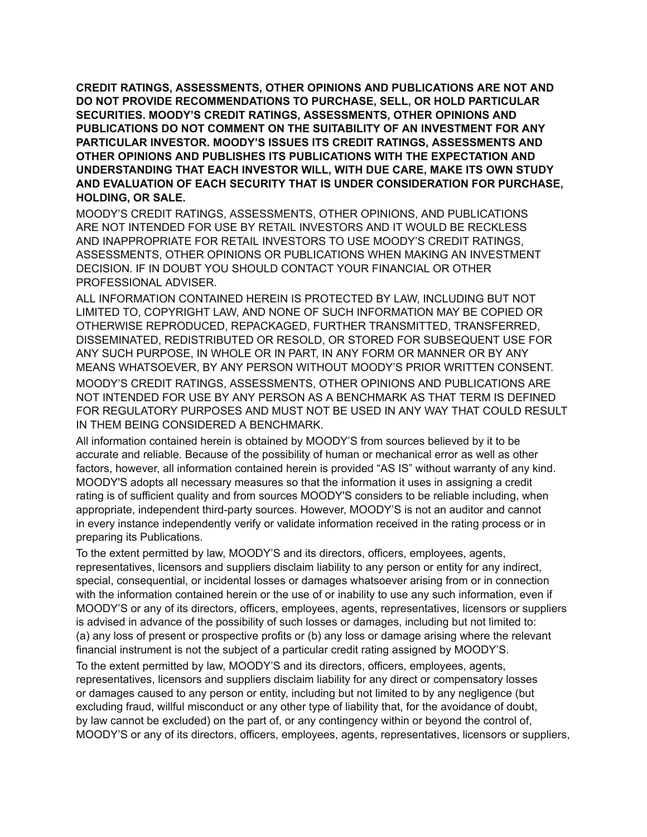**CREDIT RATINGS, ASSESSMENTS, OTHER OPINIONS AND PUBLICATIONS ARE NOT AND DO NOT PROVIDE RECOMMENDATIONS TO PURCHASE, SELL, OR HOLD PARTICULAR SECURITIES. MOODY'S CREDIT RATINGS, ASSESSMENTS, OTHER OPINIONS AND PUBLICATIONS DO NOT COMMENT ON THE SUITABILITY OF AN INVESTMENT FOR ANY PARTICULAR INVESTOR. MOODY'S ISSUES ITS CREDIT RATINGS, ASSESSMENTS AND OTHER OPINIONS AND PUBLISHES ITS PUBLICATIONS WITH THE EXPECTATION AND UNDERSTANDING THAT EACH INVESTOR WILL, WITH DUE CARE, MAKE ITS OWN STUDY AND EVALUATION OF EACH SECURITY THAT IS UNDER CONSIDERATION FOR PURCHASE, HOLDING, OR SALE.**

MOODY'S CREDIT RATINGS, ASSESSMENTS, OTHER OPINIONS, AND PUBLICATIONS ARE NOT INTENDED FOR USE BY RETAIL INVESTORS AND IT WOULD BE RECKLESS AND INAPPROPRIATE FOR RETAIL INVESTORS TO USE MOODY'S CREDIT RATINGS, ASSESSMENTS, OTHER OPINIONS OR PUBLICATIONS WHEN MAKING AN INVESTMENT DECISION. IF IN DOUBT YOU SHOULD CONTACT YOUR FINANCIAL OR OTHER PROFESSIONAL ADVISER.

ALL INFORMATION CONTAINED HEREIN IS PROTECTED BY LAW, INCLUDING BUT NOT LIMITED TO, COPYRIGHT LAW, AND NONE OF SUCH INFORMATION MAY BE COPIED OR OTHERWISE REPRODUCED, REPACKAGED, FURTHER TRANSMITTED, TRANSFERRED, DISSEMINATED, REDISTRIBUTED OR RESOLD, OR STORED FOR SUBSEQUENT USE FOR ANY SUCH PURPOSE, IN WHOLE OR IN PART, IN ANY FORM OR MANNER OR BY ANY MEANS WHATSOEVER, BY ANY PERSON WITHOUT MOODY'S PRIOR WRITTEN CONSENT. MOODY'S CREDIT RATINGS, ASSESSMENTS, OTHER OPINIONS AND PUBLICATIONS ARE NOT INTENDED FOR USE BY ANY PERSON AS A BENCHMARK AS THAT TERM IS DEFINED FOR REGULATORY PURPOSES AND MUST NOT BE USED IN ANY WAY THAT COULD RESULT IN THEM BEING CONSIDERED A BENCHMARK.

All information contained herein is obtained by MOODY'S from sources believed by it to be accurate and reliable. Because of the possibility of human or mechanical error as well as other factors, however, all information contained herein is provided "AS IS" without warranty of any kind. MOODY'S adopts all necessary measures so that the information it uses in assigning a credit rating is of sufficient quality and from sources MOODY'S considers to be reliable including, when appropriate, independent third-party sources. However, MOODY'S is not an auditor and cannot in every instance independently verify or validate information received in the rating process or in preparing its Publications.

To the extent permitted by law, MOODY'S and its directors, officers, employees, agents, representatives, licensors and suppliers disclaim liability to any person or entity for any indirect, special, consequential, or incidental losses or damages whatsoever arising from or in connection with the information contained herein or the use of or inability to use any such information, even if MOODY'S or any of its directors, officers, employees, agents, representatives, licensors or suppliers is advised in advance of the possibility of such losses or damages, including but not limited to: (a) any loss of present or prospective profits or (b) any loss or damage arising where the relevant financial instrument is not the subject of a particular credit rating assigned by MOODY'S.

To the extent permitted by law, MOODY'S and its directors, officers, employees, agents, representatives, licensors and suppliers disclaim liability for any direct or compensatory losses or damages caused to any person or entity, including but not limited to by any negligence (but excluding fraud, willful misconduct or any other type of liability that, for the avoidance of doubt, by law cannot be excluded) on the part of, or any contingency within or beyond the control of, MOODY'S or any of its directors, officers, employees, agents, representatives, licensors or suppliers,